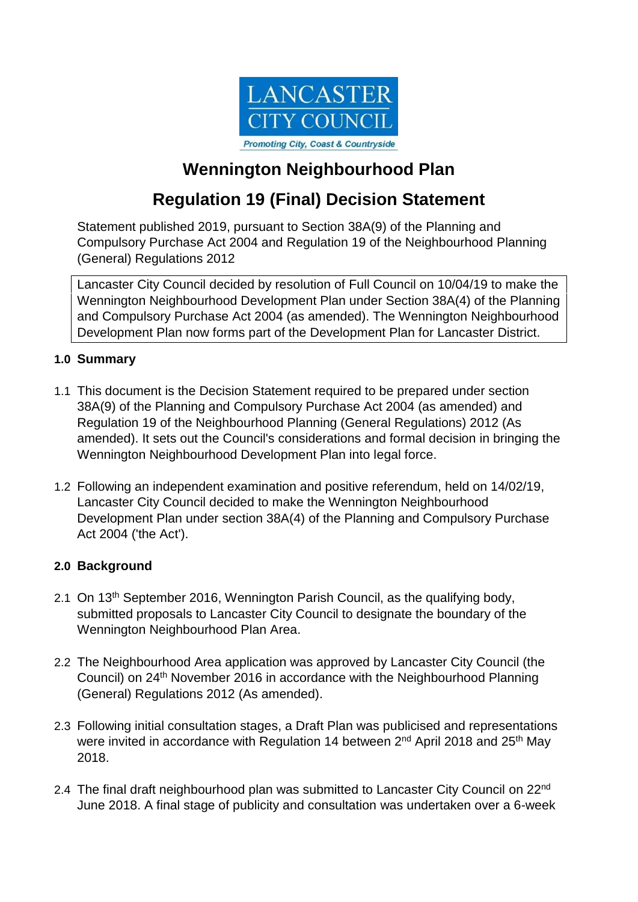

## **Wennington Neighbourhood Plan**

# **Regulation 19 (Final) Decision Statement**

Statement published 2019, pursuant to Section 38A(9) of the Planning and Compulsory Purchase Act 2004 and Regulation 19 of the Neighbourhood Planning (General) Regulations 2012

Lancaster City Council decided by resolution of Full Council on 10/04/19 to make the Wennington Neighbourhood Development Plan under Section 38A(4) of the Planning and Compulsory Purchase Act 2004 (as amended). The Wennington Neighbourhood Development Plan now forms part of the Development Plan for Lancaster District.

### **1.0 Summary**

- 1.1 This document is the Decision Statement required to be prepared under section 38A(9) of the Planning and Compulsory Purchase Act 2004 (as amended) and Regulation 19 of the Neighbourhood Planning (General Regulations) 2012 (As amended). It sets out the Council's considerations and formal decision in bringing the Wennington Neighbourhood Development Plan into legal force.
- 1.2 Following an independent examination and positive referendum, held on 14/02/19, Lancaster City Council decided to make the Wennington Neighbourhood Development Plan under section 38A(4) of the Planning and Compulsory Purchase Act 2004 ('the Act').

### **2.0 Background**

- 2.1 On 13<sup>th</sup> September 2016, Wennington Parish Council, as the qualifying body, submitted proposals to Lancaster City Council to designate the boundary of the Wennington Neighbourhood Plan Area.
- 2.2 The Neighbourhood Area application was approved by Lancaster City Council (the Council) on 24th November 2016 in accordance with the Neighbourhood Planning (General) Regulations 2012 (As amended).
- 2.3 Following initial consultation stages, a Draft Plan was publicised and representations were invited in accordance with Regulation 14 between 2<sup>nd</sup> April 2018 and 25<sup>th</sup> May 2018.
- 2.4 The final draft neighbourhood plan was submitted to Lancaster City Council on 22<sup>nd</sup> June 2018. A final stage of publicity and consultation was undertaken over a 6-week